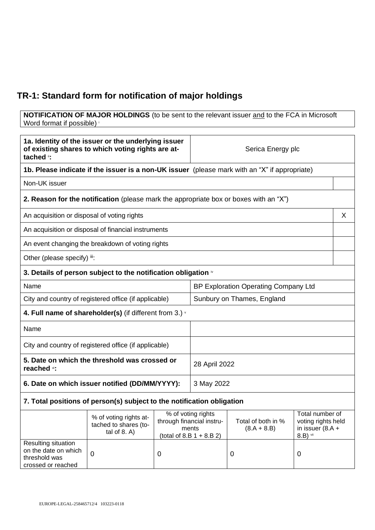## **TR-1: Standard form for notification of major holdings**

**NOTIFICATION OF MAJOR HOLDINGS** (to be sent to the relevant issuer and to the FCA in Microsoft Word format if possible)

| 1a. Identity of the issuer or the underlying issuer<br>of existing shares to which voting rights are at-<br>tached i: |                                                                                               |               | Serica Energy plc                                                                       |                                     |                                                                           |   |
|-----------------------------------------------------------------------------------------------------------------------|-----------------------------------------------------------------------------------------------|---------------|-----------------------------------------------------------------------------------------|-------------------------------------|---------------------------------------------------------------------------|---|
|                                                                                                                       | 1b. Please indicate if the issuer is a non-UK issuer (please mark with an "X" if appropriate) |               |                                                                                         |                                     |                                                                           |   |
| Non-UK issuer                                                                                                         |                                                                                               |               |                                                                                         |                                     |                                                                           |   |
|                                                                                                                       | <b>2. Reason for the notification</b> (please mark the appropriate box or boxes with an "X")  |               |                                                                                         |                                     |                                                                           |   |
| An acquisition or disposal of voting rights                                                                           |                                                                                               |               |                                                                                         |                                     |                                                                           | X |
|                                                                                                                       | An acquisition or disposal of financial instruments                                           |               |                                                                                         |                                     |                                                                           |   |
|                                                                                                                       | An event changing the breakdown of voting rights                                              |               |                                                                                         |                                     |                                                                           |   |
| Other (please specify) iii:                                                                                           |                                                                                               |               |                                                                                         |                                     |                                                                           |   |
|                                                                                                                       | 3. Details of person subject to the notification obligation $\sqrt[n]{ }$                     |               |                                                                                         |                                     |                                                                           |   |
| Name                                                                                                                  |                                                                                               |               | BP Exploration Operating Company Ltd                                                    |                                     |                                                                           |   |
| City and country of registered office (if applicable)                                                                 |                                                                                               |               | Sunbury on Thames, England                                                              |                                     |                                                                           |   |
| 4. Full name of shareholder(s) (if different from 3.) $\cdot$                                                         |                                                                                               |               |                                                                                         |                                     |                                                                           |   |
| Name                                                                                                                  |                                                                                               |               |                                                                                         |                                     |                                                                           |   |
| City and country of registered office (if applicable)                                                                 |                                                                                               |               |                                                                                         |                                     |                                                                           |   |
| 5. Date on which the threshold was crossed or<br>reached vi:                                                          |                                                                                               | 28 April 2022 |                                                                                         |                                     |                                                                           |   |
| 6. Date on which issuer notified (DD/MM/YYYY):                                                                        |                                                                                               | 3 May 2022    |                                                                                         |                                     |                                                                           |   |
|                                                                                                                       | 7. Total positions of person(s) subject to the notification obligation                        |               |                                                                                         |                                     |                                                                           |   |
|                                                                                                                       | % of voting rights at-<br>tached to shares (to-<br>tal of $8. A$ )                            |               | % of voting rights<br>through financial instru-<br>ments<br>(total of 8.B $1 + 8.B 2$ ) | Total of both in %<br>$(8.A + 8.B)$ | Total number of<br>voting rights held<br>in issuer $(8.A +$<br>$8.B)$ vii |   |
| Resulting situation<br>on the date on which<br>threshold was<br>crossed or reached                                    | $\mathbf 0$                                                                                   | 0             |                                                                                         | $\mathbf 0$                         | 0                                                                         |   |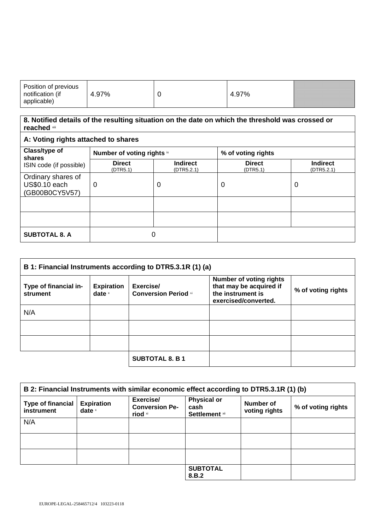| Position of previous<br>$\cdots$<br>notification<br>( IT<br>applicable) | 70/<br>∴9 ∕<br>7с |  | 7% | <u>saa kuni kan saaraa kan saaraa kan saaraa kan saaraa kan saaraa kan saaraa kan saaraa kan saaraa kan saaraa k</u> |
|-------------------------------------------------------------------------|-------------------|--|----|----------------------------------------------------------------------------------------------------------------------|
|-------------------------------------------------------------------------|-------------------|--|----|----------------------------------------------------------------------------------------------------------------------|

## **8. Notified details of the resulting situation on the date on which the threshold was crossed or reached** viii

| A: Voting rights attached to shares                          |                            |                               |                           |                               |
|--------------------------------------------------------------|----------------------------|-------------------------------|---------------------------|-------------------------------|
| Class/type of<br>shares                                      | Number of voting rights ix | % of voting rights            |                           |                               |
| ISIN code (if possible)                                      | <b>Direct</b><br>(DTR5.1)  | <b>Indirect</b><br>(DTR5.2.1) | <b>Direct</b><br>(DTR5.1) | <b>Indirect</b><br>(DTR5.2.1) |
| Ordinary shares of<br><b>US\$0.10 each</b><br>(GB00B0CY5V57) | 0                          | 0                             | 0                         | 0                             |
|                                                              |                            |                               |                           |                               |
|                                                              |                            |                               |                           |                               |
| <b>SUBTOTAL 8. A</b>                                         |                            | 0                             |                           |                               |

| B 1: Financial Instruments according to DTR5.3.1R (1) (a) |                               |                                          |                                                                                                        |                    |
|-----------------------------------------------------------|-------------------------------|------------------------------------------|--------------------------------------------------------------------------------------------------------|--------------------|
| Type of financial in-<br>strument                         | <b>Expiration</b><br>date $x$ | Exercise/<br><b>Conversion Period xi</b> | <b>Number of voting rights</b><br>that may be acquired if<br>the instrument is<br>exercised/converted. | % of voting rights |
| N/A                                                       |                               |                                          |                                                                                                        |                    |
|                                                           |                               |                                          |                                                                                                        |                    |
|                                                           |                               |                                          |                                                                                                        |                    |
|                                                           |                               | <b>SUBTOTAL 8. B 1</b>                   |                                                                                                        |                    |

| B 2: Financial Instruments with similar economic effect according to DTR5.3.1R (1) (b) |                               |                                                          |                                                     |                            |                    |
|----------------------------------------------------------------------------------------|-------------------------------|----------------------------------------------------------|-----------------------------------------------------|----------------------------|--------------------|
| <b>Type of financial</b><br>instrument                                                 | <b>Expiration</b><br>date $x$ | Exercise/<br><b>Conversion Pe-</b><br>riod <sup>xi</sup> | <b>Physical or</b><br>cash<br><b>Settlement xii</b> | Number of<br>voting rights | % of voting rights |
| N/A                                                                                    |                               |                                                          |                                                     |                            |                    |
|                                                                                        |                               |                                                          |                                                     |                            |                    |
|                                                                                        |                               |                                                          |                                                     |                            |                    |
|                                                                                        |                               |                                                          | <b>SUBTOTAL</b><br>8.B.2                            |                            |                    |